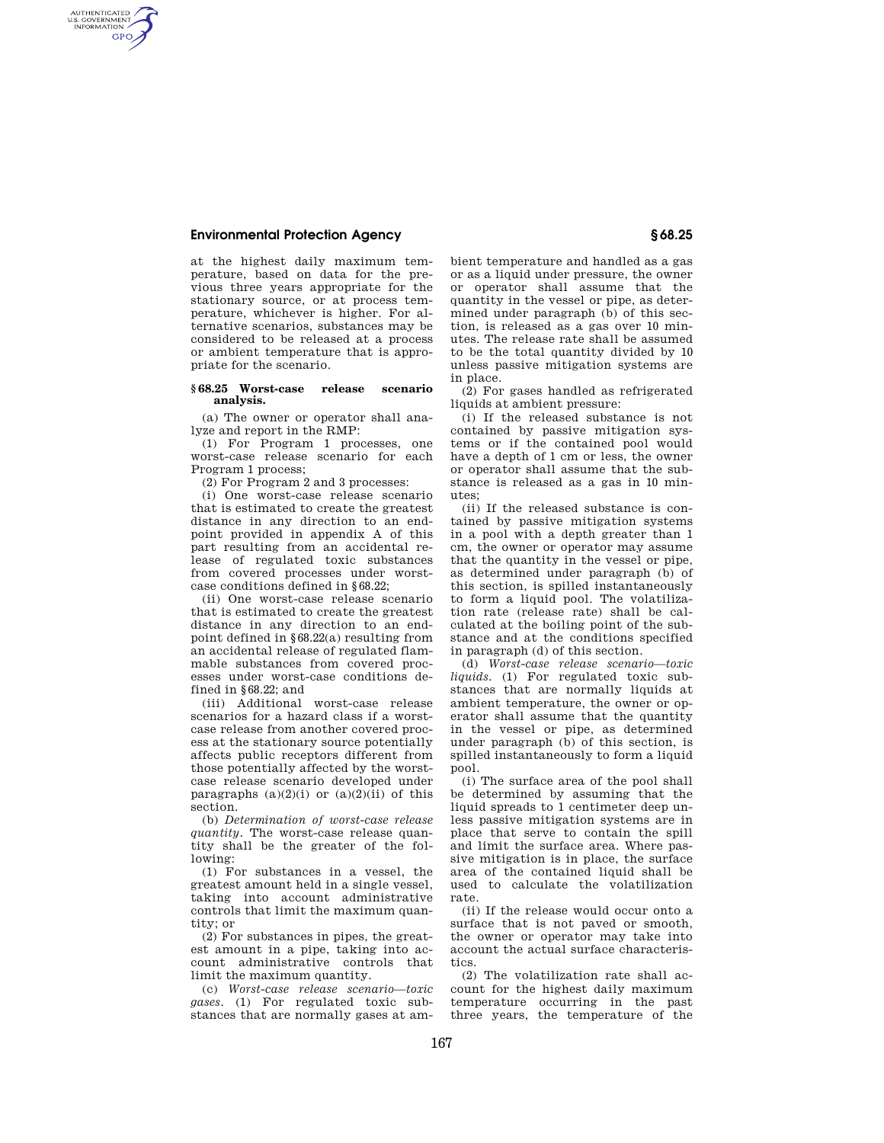# **Environmental Protection Agency § 68.25**

AUTHENTICATED<br>U.S. GOVERNMENT<br>INFORMATION **GPO** 

> at the highest daily maximum temperature, based on data for the previous three years appropriate for the stationary source, or at process temperature, whichever is higher. For alternative scenarios, substances may be considered to be released at a process or ambient temperature that is appropriate for the scenario.

### **§ 68.25 Worst-case release scenario analysis.**

(a) The owner or operator shall analyze and report in the RMP:

(1) For Program 1 processes, one worst-case release scenario for each Program 1 process;

(2) For Program 2 and 3 processes:

(i) One worst-case release scenario that is estimated to create the greatest distance in any direction to an endpoint provided in appendix A of this part resulting from an accidental release of regulated toxic substances from covered processes under worstcase conditions defined in §68.22;

(ii) One worst-case release scenario that is estimated to create the greatest distance in any direction to an endpoint defined in §68.22(a) resulting from an accidental release of regulated flammable substances from covered processes under worst-case conditions defined in §68.22; and

(iii) Additional worst-case release scenarios for a hazard class if a worstcase release from another covered process at the stationary source potentially affects public receptors different from those potentially affected by the worstcase release scenario developed under paragraphs  $(a)(2)(i)$  or  $(a)(2)(ii)$  of this section.

(b) *Determination of worst-case release quantity.* The worst-case release quantity shall be the greater of the following:

(1) For substances in a vessel, the greatest amount held in a single vessel, taking into account administrative controls that limit the maximum quantity; or

(2) For substances in pipes, the greatest amount in a pipe, taking into account administrative controls that limit the maximum quantity.

(c) *Worst-case release scenario—toxic gases.* (1) For regulated toxic substances that are normally gases at ambient temperature and handled as a gas or as a liquid under pressure, the owner or operator shall assume that the quantity in the vessel or pipe, as determined under paragraph (b) of this section, is released as a gas over 10 minutes. The release rate shall be assumed to be the total quantity divided by 10 unless passive mitigation systems are in place.

(2) For gases handled as refrigerated liquids at ambient pressure:

(i) If the released substance is not contained by passive mitigation systems or if the contained pool would have a depth of 1 cm or less, the owner or operator shall assume that the substance is released as a gas in 10 minutes;

(ii) If the released substance is contained by passive mitigation systems in a pool with a depth greater than 1 cm, the owner or operator may assume that the quantity in the vessel or pipe, as determined under paragraph (b) of this section, is spilled instantaneously to form a liquid pool. The volatilization rate (release rate) shall be calculated at the boiling point of the substance and at the conditions specified in paragraph (d) of this section.

(d) *Worst-case release scenario—toxic liquids.* (1) For regulated toxic substances that are normally liquids at ambient temperature, the owner or operator shall assume that the quantity in the vessel or pipe, as determined under paragraph (b) of this section, is spilled instantaneously to form a liquid pool.

(i) The surface area of the pool shall be determined by assuming that the liquid spreads to 1 centimeter deep unless passive mitigation systems are in place that serve to contain the spill and limit the surface area. Where passive mitigation is in place, the surface area of the contained liquid shall be used to calculate the volatilization rate.

(ii) If the release would occur onto a surface that is not paved or smooth, the owner or operator may take into account the actual surface characteristics.

(2) The volatilization rate shall account for the highest daily maximum temperature occurring in the past three years, the temperature of the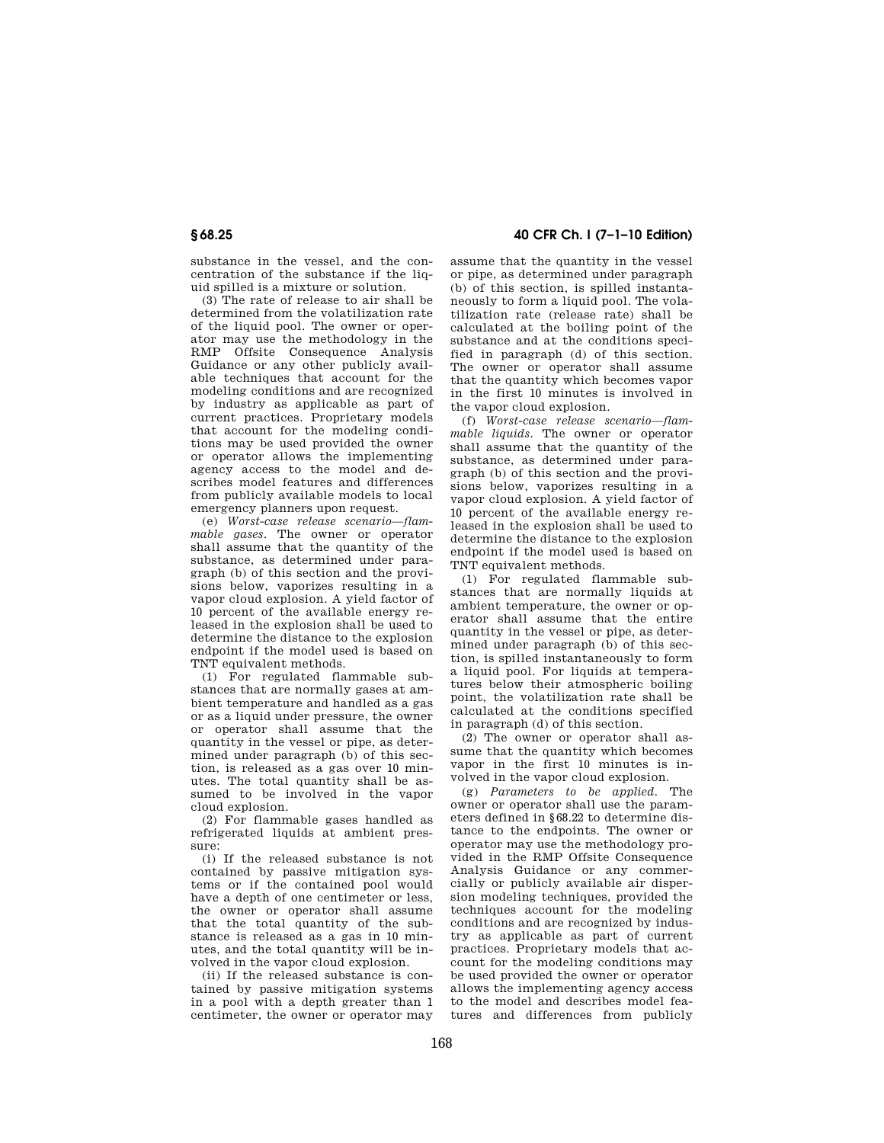substance in the vessel, and the concentration of the substance if the liquid spilled is a mixture or solution.

(3) The rate of release to air shall be determined from the volatilization rate of the liquid pool. The owner or operator may use the methodology in the RMP Offsite Consequence Analysis Guidance or any other publicly available techniques that account for the modeling conditions and are recognized by industry as applicable as part of current practices. Proprietary models that account for the modeling conditions may be used provided the owner or operator allows the implementing agency access to the model and describes model features and differences from publicly available models to local emergency planners upon request.

(e) *Worst-case release scenario—flammable gases.* The owner or operator shall assume that the quantity of the substance, as determined under paragraph (b) of this section and the provisions below, vaporizes resulting in a vapor cloud explosion. A yield factor of 10 percent of the available energy released in the explosion shall be used to determine the distance to the explosion endpoint if the model used is based on TNT equivalent methods.

(1) For regulated flammable substances that are normally gases at ambient temperature and handled as a gas or as a liquid under pressure, the owner or operator shall assume that the quantity in the vessel or pipe, as determined under paragraph (b) of this section, is released as a gas over 10 minutes. The total quantity shall be assumed to be involved in the vapor cloud explosion.

(2) For flammable gases handled as refrigerated liquids at ambient pressure:

(i) If the released substance is not contained by passive mitigation systems or if the contained pool would have a depth of one centimeter or less, the owner or operator shall assume that the total quantity of the substance is released as a gas in 10 minutes, and the total quantity will be involved in the vapor cloud explosion.

(ii) If the released substance is contained by passive mitigation systems in a pool with a depth greater than 1 centimeter, the owner or operator may

**§ 68.25 40 CFR Ch. I (7–1–10 Edition)** 

assume that the quantity in the vessel or pipe, as determined under paragraph (b) of this section, is spilled instantaneously to form a liquid pool. The volatilization rate (release rate) shall be calculated at the boiling point of the substance and at the conditions specified in paragraph (d) of this section. The owner or operator shall assume that the quantity which becomes vapor in the first 10 minutes is involved in the vapor cloud explosion.

(f) *Worst-case release scenario—flammable liquids.* The owner or operator shall assume that the quantity of the substance, as determined under paragraph (b) of this section and the provisions below, vaporizes resulting in a vapor cloud explosion. A yield factor of 10 percent of the available energy released in the explosion shall be used to determine the distance to the explosion endpoint if the model used is based on TNT equivalent methods.

(1) For regulated flammable substances that are normally liquids at ambient temperature, the owner or operator shall assume that the entire quantity in the vessel or pipe, as determined under paragraph (b) of this section, is spilled instantaneously to form a liquid pool. For liquids at temperatures below their atmospheric boiling point, the volatilization rate shall be calculated at the conditions specified in paragraph (d) of this section.

(2) The owner or operator shall assume that the quantity which becomes vapor in the first 10 minutes is involved in the vapor cloud explosion.

(g) *Parameters to be applied.* The owner or operator shall use the parameters defined in §68.22 to determine distance to the endpoints. The owner or operator may use the methodology provided in the RMP Offsite Consequence Analysis Guidance or any commercially or publicly available air dispersion modeling techniques, provided the techniques account for the modeling conditions and are recognized by industry as applicable as part of current practices. Proprietary models that account for the modeling conditions may be used provided the owner or operator allows the implementing agency access to the model and describes model features and differences from publicly